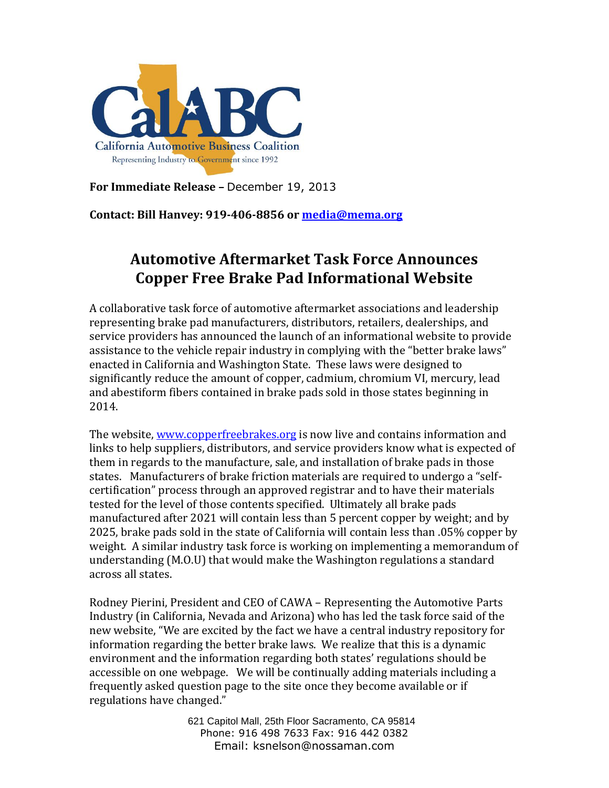

**For Immediate Release –** December 19, 2013

**Contact: Bill Hanvey: 919-406-8856 o[r media@mema.org](mailto:media@mema.org)**

## **Automotive Aftermarket Task Force Announces Copper Free Brake Pad Informational Website**

A collaborative task force of automotive aftermarket associations and leadership representing brake pad manufacturers, distributors, retailers, dealerships, and service providers has announced the launch of an informational website to provide assistance to the vehicle repair industry in complying with the "better brake laws" enacted in California and Washington State. These laws were designed to significantly reduce the amount of copper, cadmium, chromium VI, mercury, lead and abestiform fibers contained in brake pads sold in those states beginning in 2014.

The website, [www.copperfreebrakes.org](http://www.copperfreebrakes.org/) is now live and contains information and links to help suppliers, distributors, and service providers know what is expected of them in regards to the manufacture, sale, and installation of brake pads in those states. Manufacturers of brake friction materials are required to undergo a "selfcertification" process through an approved registrar and to have their materials tested for the level of those contents specified. Ultimately all brake pads manufactured after 2021 will contain less than 5 percent copper by weight; and by 2025, brake pads sold in the state of California will contain less than .05% copper by weight. A similar industry task force is working on implementing a memorandum of understanding (M.O.U) that would make the Washington regulations a standard across all states.

Rodney Pierini, President and CEO of CAWA – Representing the Automotive Parts Industry (in California, Nevada and Arizona) who has led the task force said of the new website, "We are excited by the fact we have a central industry repository for information regarding the better brake laws. We realize that this is a dynamic environment and the information regarding both states' regulations should be accessible on one webpage. We will be continually adding materials including a frequently asked question page to the site once they become available or if regulations have changed."

> 621 Capitol Mall, 25th Floor Sacramento, CA 95814 Phone: 916 498 7633 Fax: 916 442 0382 Email: ksnelson@nossaman.com